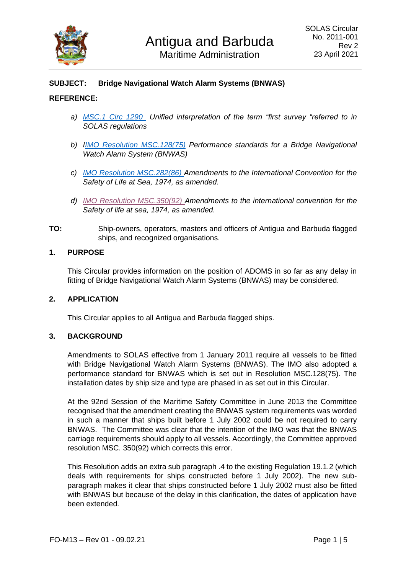

# **SUBJECT: Bridge Navigational Watch Alarm Systems (BNWAS)**

### **REFERENCE:**

- *a) [MSC.1 Circ 1290](file:///C:/Users/laked/Downloads/MSC.1-Circ.1290%20-%20Unified%20Interpretation%20Of%20The%20Term%20âFirst%20Surveyâ%20Referred%20To%20In%20Solas%20Regulations%20(Secretariat).pdf) Unified interpretation of the term "first survey "referred to in SOLAS regulations*
- *b) [IIMO Resolution MSC.128\(75\)](https://wwwcdn.imo.org/localresources/en/KnowledgeCentre/IndexofIMOResolutions/MSCResolutions/MSC.128(75).pdf) Performance standards for a Bridge Navigational Watch Alarm System (BNWAS)*
- *c) [IMO Resolution MSC.282\(86\) A](https://wwwcdn.imo.org/localresources/en/KnowledgeCentre/IndexofIMOResolutions/MSCResolutions/MSC.282(86).pdf)mendments to the International Convention for the Safety of Life at Sea, 1974, as amended.*
- *d) [IMO Resolution MSC.350\(92\) A](https://wwwcdn.imo.org/localresources/en/KnowledgeCentre/IndexofIMOResolutions/MSCResolutions/MSC.350(92).pdf)mendments to the international convention for the Safety of life at sea, 1974, as amended.*
- **TO:** Ship-owners, operators, masters and officers of Antigua and Barbuda flagged ships, and recognized organisations.

### **1. PURPOSE**

This Circular provides information on the position of ADOMS in so far as any delay in fitting of Bridge Navigational Watch Alarm Systems (BNWAS) may be considered.

#### **2. APPLICATION**

This Circular applies to all Antigua and Barbuda flagged ships.

### **3. BACKGROUND**

Amendments to SOLAS effective from 1 January 2011 require all vessels to be fitted with Bridge Navigational Watch Alarm Systems (BNWAS). The IMO also adopted a performance standard for BNWAS which is set out in Resolution MSC.128(75). The installation dates by ship size and type are phased in as set out in this Circular.

At the 92nd Session of the Maritime Safety Committee in June 2013 the Committee recognised that the amendment creating the BNWAS system requirements was worded in such a manner that ships built before 1 July 2002 could be not required to carry BNWAS. The Committee was clear that the intention of the IMO was that the BNWAS carriage requirements should apply to all vessels. Accordingly, the Committee approved resolution MSC. 350(92) which corrects this error.

This Resolution adds an extra sub paragraph .4 to the existing Regulation 19.1.2 (which deals with requirements for ships constructed before 1 July 2002). The new subparagraph makes it clear that ships constructed before 1 July 2002 must also be fitted with BNWAS but because of the delay in this clarification, the dates of application have been extended.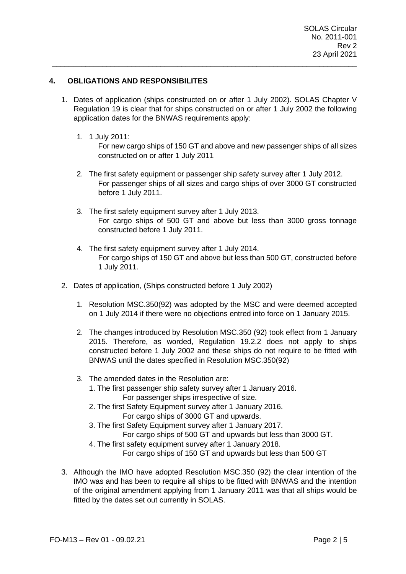# **4. OBLIGATIONS AND RESPONSIBILITES**

1. Dates of application (ships constructed on or after 1 July 2002). SOLAS Chapter V Regulation 19 is clear that for ships constructed on or after 1 July 2002 the following application dates for the BNWAS requirements apply:

\_\_\_\_\_\_\_\_\_\_\_\_\_\_\_\_\_\_\_\_\_\_\_\_\_\_\_\_\_\_\_\_\_\_\_\_\_\_\_\_\_\_\_\_\_\_\_\_\_\_\_\_\_\_\_\_\_\_\_\_\_\_\_\_\_\_\_\_\_\_\_\_\_

1. 1 July 2011:

For new cargo ships of 150 GT and above and new passenger ships of all sizes constructed on or after 1 July 2011

- 2. The first safety equipment or passenger ship safety survey after 1 July 2012. For passenger ships of all sizes and cargo ships of over 3000 GT constructed before 1 July 2011.
- 3. The first safety equipment survey after 1 July 2013. For cargo ships of 500 GT and above but less than 3000 gross tonnage constructed before 1 July 2011.
- 4. The first safety equipment survey after 1 July 2014. For cargo ships of 150 GT and above but less than 500 GT, constructed before 1 July 2011.
- 2. Dates of application, (Ships constructed before 1 July 2002)
	- 1. Resolution MSC.350(92) was adopted by the MSC and were deemed accepted on 1 July 2014 if there were no objections entred into force on 1 January 2015.
	- 2. The changes introduced by Resolution MSC.350 (92) took effect from 1 January 2015. Therefore, as worded, Regulation 19.2.2 does not apply to ships constructed before 1 July 2002 and these ships do not require to be fitted with BNWAS until the dates specified in Resolution MSC.350(92)
	- 3. The amended dates in the Resolution are:
		- 1. The first passenger ship safety survey after 1 January 2016. For passenger ships irrespective of size.
		- 2. The first Safety Equipment survey after 1 January 2016. For cargo ships of 3000 GT and upwards.
		- 3. The first Safety Equipment survey after 1 January 2017.

For cargo ships of 500 GT and upwards but less than 3000 GT.

4. The first safety equipment survey after 1 January 2018.

For cargo ships of 150 GT and upwards but less than 500 GT

3. Although the IMO have adopted Resolution MSC.350 (92) the clear intention of the IMO was and has been to require all ships to be fitted with BNWAS and the intention of the original amendment applying from 1 January 2011 was that all ships would be fitted by the dates set out currently in SOLAS.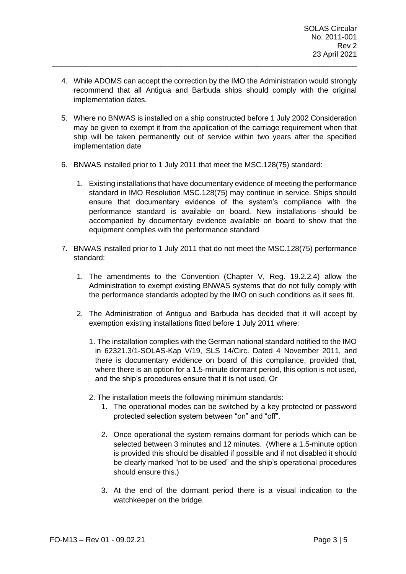4. While ADOMS can accept the correction by the IMO the Administration would strongly recommend that all Antigua and Barbuda ships should comply with the original implementation dates.

\_\_\_\_\_\_\_\_\_\_\_\_\_\_\_\_\_\_\_\_\_\_\_\_\_\_\_\_\_\_\_\_\_\_\_\_\_\_\_\_\_\_\_\_\_\_\_\_\_\_\_\_\_\_\_\_\_\_\_\_\_\_\_\_\_\_\_\_\_\_\_\_\_

- 5. Where no BNWAS is installed on a ship constructed before 1 July 2002 Consideration may be given to exempt it from the application of the carriage requirement when that ship will be taken permanently out of service within two years after the specified implementation date
- 6. BNWAS installed prior to 1 July 2011 that meet the MSC.128(75) standard:
	- 1. Existing installations that have documentary evidence of meeting the performance standard in IMO Resolution MSC.128(75) may continue in service. Ships should ensure that documentary evidence of the system's compliance with the performance standard is available on board. New installations should be accompanied by documentary evidence available on board to show that the equipment complies with the performance standard
- 7. BNWAS installed prior to 1 July 2011 that do not meet the MSC.128(75) performance standard:
	- 1. The amendments to the Convention (Chapter V, Reg. 19.2.2.4) allow the Administration to exempt existing BNWAS systems that do not fully comply with the performance standards adopted by the IMO on such conditions as it sees fit.
	- 2. The Administration of Antigua and Barbuda has decided that it will accept by exemption existing installations fitted before 1 July 2011 where:
		- 1. The installation complies with the German national standard notified to the IMO in 62321.3/1-SOLAS-Kap V/19, SLS 14/Circ. Dated 4 November 2011, and there is documentary evidence on board of this compliance, provided that, where there is an option for a 1.5-minute dormant period, this option is not used, and the ship's procedures ensure that it is not used. Or
		- 2. The installation meets the following minimum standards:
			- 1. The operational modes can be switched by a key protected or password protected selection system between "on" and "off",
			- 2. Once operational the system remains dormant for periods which can be selected between 3 minutes and 12 minutes. (Where a 1.5-minute option is provided this should be disabled if possible and if not disabled it should be clearly marked "not to be used" and the ship's operational procedures should ensure this.)
			- 3. At the end of the dormant period there is a visual indication to the watchkeeper on the bridge.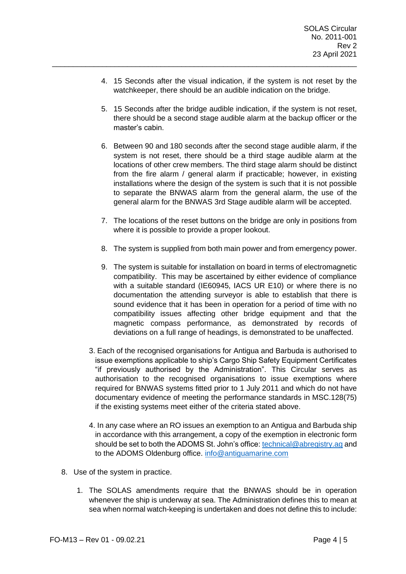4. 15 Seconds after the visual indication, if the system is not reset by the watchkeeper, there should be an audible indication on the bridge.

\_\_\_\_\_\_\_\_\_\_\_\_\_\_\_\_\_\_\_\_\_\_\_\_\_\_\_\_\_\_\_\_\_\_\_\_\_\_\_\_\_\_\_\_\_\_\_\_\_\_\_\_\_\_\_\_\_\_\_\_\_\_\_\_\_\_\_\_\_\_\_\_\_

- 5. 15 Seconds after the bridge audible indication, if the system is not reset, there should be a second stage audible alarm at the backup officer or the master's cabin.
- 6. Between 90 and 180 seconds after the second stage audible alarm, if the system is not reset, there should be a third stage audible alarm at the locations of other crew members. The third stage alarm should be distinct from the fire alarm / general alarm if practicable; however, in existing installations where the design of the system is such that it is not possible to separate the BNWAS alarm from the general alarm, the use of the general alarm for the BNWAS 3rd Stage audible alarm will be accepted.
- 7. The locations of the reset buttons on the bridge are only in positions from where it is possible to provide a proper lookout.
- 8. The system is supplied from both main power and from emergency power.
- 9. The system is suitable for installation on board in terms of electromagnetic compatibility. This may be ascertained by either evidence of compliance with a suitable standard (IE60945, IACS UR E10) or where there is no documentation the attending surveyor is able to establish that there is sound evidence that it has been in operation for a period of time with no compatibility issues affecting other bridge equipment and that the magnetic compass performance, as demonstrated by records of deviations on a full range of headings, is demonstrated to be unaffected.
- 3. Each of the recognised organisations for Antigua and Barbuda is authorised to issue exemptions applicable to ship's Cargo Ship Safety Equipment Certificates "if previously authorised by the Administration". This Circular serves as authorisation to the recognised organisations to issue exemptions where required for BNWAS systems fitted prior to 1 July 2011 and which do not have documentary evidence of meeting the performance standards in MSC.128(75) if the existing systems meet either of the criteria stated above.
- 4. In any case where an RO issues an exemption to an Antigua and Barbuda ship in accordance with this arrangement, a copy of the exemption in electronic form should be set to both the ADOMS St. John's office: [technical@abregistry.ag](mailto:technical@abregistry.ag) and to the ADOMS Oldenburg office. [info@antiguamarine.com](mailto:info@antiguamarine.com)
- 8. Use of the system in practice.
	- 1. The SOLAS amendments require that the BNWAS should be in operation whenever the ship is underway at sea. The Administration defines this to mean at sea when normal watch-keeping is undertaken and does not define this to include: